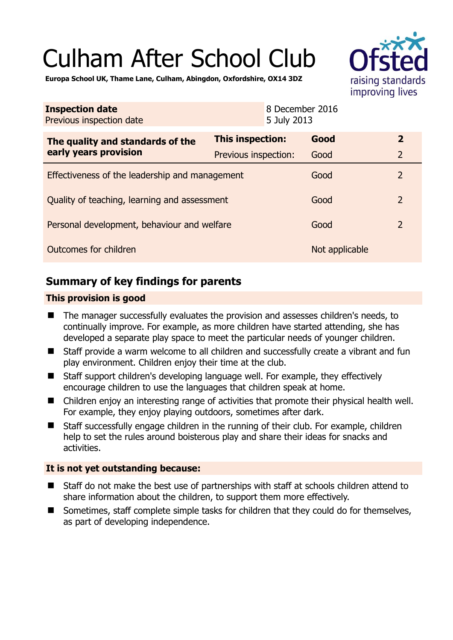# Culham After School Club



**Europa School UK, Thame Lane, Culham, Abingdon, Oxfordshire, OX14 3DZ** 

| <b>Inspection date</b><br>Previous inspection date        |                      | 8 December 2016<br>5 July 2013 |                |                |
|-----------------------------------------------------------|----------------------|--------------------------------|----------------|----------------|
| The quality and standards of the<br>early years provision | This inspection:     |                                | Good           | $\overline{2}$ |
|                                                           | Previous inspection: |                                | Good           | $\overline{2}$ |
| Effectiveness of the leadership and management            |                      |                                | Good           | $\overline{2}$ |
| Quality of teaching, learning and assessment              |                      |                                | Good           | $\overline{2}$ |
| Personal development, behaviour and welfare               |                      |                                | Good           | $\overline{2}$ |
| Outcomes for children                                     |                      |                                | Not applicable |                |

# **Summary of key findings for parents**

## **This provision is good**

- The manager successfully evaluates the provision and assesses children's needs, to continually improve. For example, as more children have started attending, she has developed a separate play space to meet the particular needs of younger children.
- Staff provide a warm welcome to all children and successfully create a vibrant and fun play environment. Children enjoy their time at the club.
- Staff support children's developing language well. For example, they effectively encourage children to use the languages that children speak at home.
- Children enjoy an interesting range of activities that promote their physical health well. For example, they enjoy playing outdoors, sometimes after dark.
- Staff successfully engage children in the running of their club. For example, children help to set the rules around boisterous play and share their ideas for snacks and activities.

## **It is not yet outstanding because:**

- Staff do not make the best use of partnerships with staff at schools children attend to share information about the children, to support them more effectively.
- Sometimes, staff complete simple tasks for children that they could do for themselves, as part of developing independence.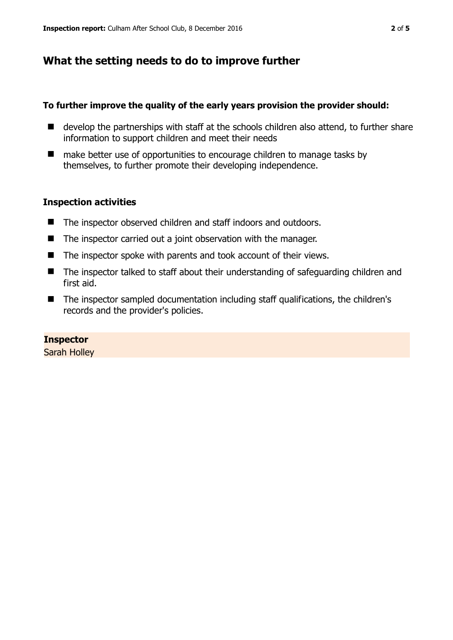## **What the setting needs to do to improve further**

#### **To further improve the quality of the early years provision the provider should:**

- develop the partnerships with staff at the schools children also attend, to further share information to support children and meet their needs
- make better use of opportunities to encourage children to manage tasks by themselves, to further promote their developing independence.

#### **Inspection activities**

- The inspector observed children and staff indoors and outdoors.
- $\blacksquare$  The inspector carried out a joint observation with the manager.
- The inspector spoke with parents and took account of their views.
- The inspector talked to staff about their understanding of safeguarding children and first aid.
- The inspector sampled documentation including staff qualifications, the children's records and the provider's policies.

## **Inspector**

Sarah Holley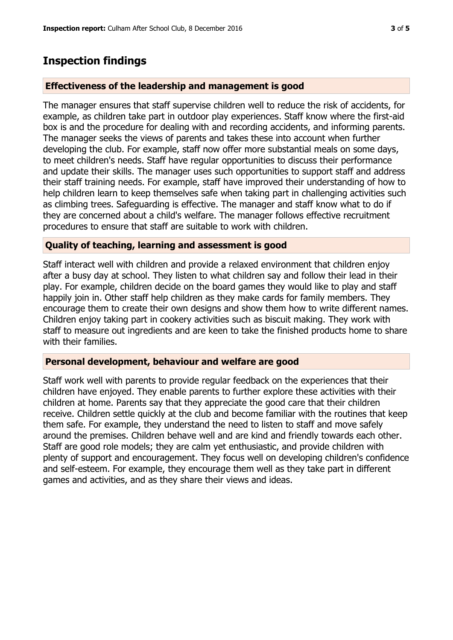## **Inspection findings**

#### **Effectiveness of the leadership and management is good**

The manager ensures that staff supervise children well to reduce the risk of accidents, for example, as children take part in outdoor play experiences. Staff know where the first-aid box is and the procedure for dealing with and recording accidents, and informing parents. The manager seeks the views of parents and takes these into account when further developing the club. For example, staff now offer more substantial meals on some days, to meet children's needs. Staff have regular opportunities to discuss their performance and update their skills. The manager uses such opportunities to support staff and address their staff training needs. For example, staff have improved their understanding of how to help children learn to keep themselves safe when taking part in challenging activities such as climbing trees. Safeguarding is effective. The manager and staff know what to do if they are concerned about a child's welfare. The manager follows effective recruitment procedures to ensure that staff are suitable to work with children.

#### **Quality of teaching, learning and assessment is good**

Staff interact well with children and provide a relaxed environment that children enjoy after a busy day at school. They listen to what children say and follow their lead in their play. For example, children decide on the board games they would like to play and staff happily join in. Other staff help children as they make cards for family members. They encourage them to create their own designs and show them how to write different names. Children enjoy taking part in cookery activities such as biscuit making. They work with staff to measure out ingredients and are keen to take the finished products home to share with their families.

#### **Personal development, behaviour and welfare are good**

Staff work well with parents to provide regular feedback on the experiences that their children have enjoyed. They enable parents to further explore these activities with their children at home. Parents say that they appreciate the good care that their children receive. Children settle quickly at the club and become familiar with the routines that keep them safe. For example, they understand the need to listen to staff and move safely around the premises. Children behave well and are kind and friendly towards each other. Staff are good role models; they are calm yet enthusiastic, and provide children with plenty of support and encouragement. They focus well on developing children's confidence and self-esteem. For example, they encourage them well as they take part in different games and activities, and as they share their views and ideas.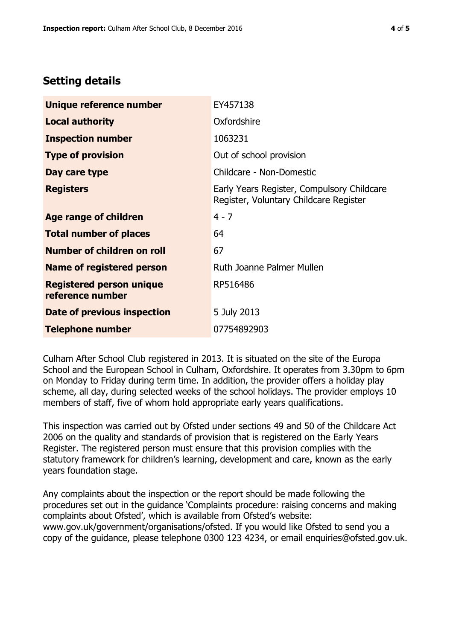# **Setting details**

| Unique reference number                             | EY457138                                                                             |  |  |
|-----------------------------------------------------|--------------------------------------------------------------------------------------|--|--|
| <b>Local authority</b>                              | Oxfordshire                                                                          |  |  |
| <b>Inspection number</b>                            | 1063231                                                                              |  |  |
| <b>Type of provision</b>                            | Out of school provision                                                              |  |  |
| Day care type                                       | Childcare - Non-Domestic                                                             |  |  |
| <b>Registers</b>                                    | Early Years Register, Compulsory Childcare<br>Register, Voluntary Childcare Register |  |  |
| Age range of children                               | $4 - 7$                                                                              |  |  |
| <b>Total number of places</b>                       | 64                                                                                   |  |  |
| Number of children on roll                          | 67                                                                                   |  |  |
| Name of registered person                           | Ruth Joanne Palmer Mullen                                                            |  |  |
| <b>Registered person unique</b><br>reference number | RP516486                                                                             |  |  |
| Date of previous inspection                         | 5 July 2013                                                                          |  |  |
| <b>Telephone number</b>                             | 07754892903                                                                          |  |  |

Culham After School Club registered in 2013. It is situated on the site of the Europa School and the European School in Culham, Oxfordshire. It operates from 3.30pm to 6pm on Monday to Friday during term time. In addition, the provider offers a holiday play scheme, all day, during selected weeks of the school holidays. The provider employs 10 members of staff, five of whom hold appropriate early years qualifications.

This inspection was carried out by Ofsted under sections 49 and 50 of the Childcare Act 2006 on the quality and standards of provision that is registered on the Early Years Register. The registered person must ensure that this provision complies with the statutory framework for children's learning, development and care, known as the early years foundation stage.

Any complaints about the inspection or the report should be made following the procedures set out in the guidance 'Complaints procedure: raising concerns and making complaints about Ofsted', which is available from Ofsted's website: www.gov.uk/government/organisations/ofsted. If you would like Ofsted to send you a copy of the guidance, please telephone 0300 123 4234, or email enquiries@ofsted.gov.uk.